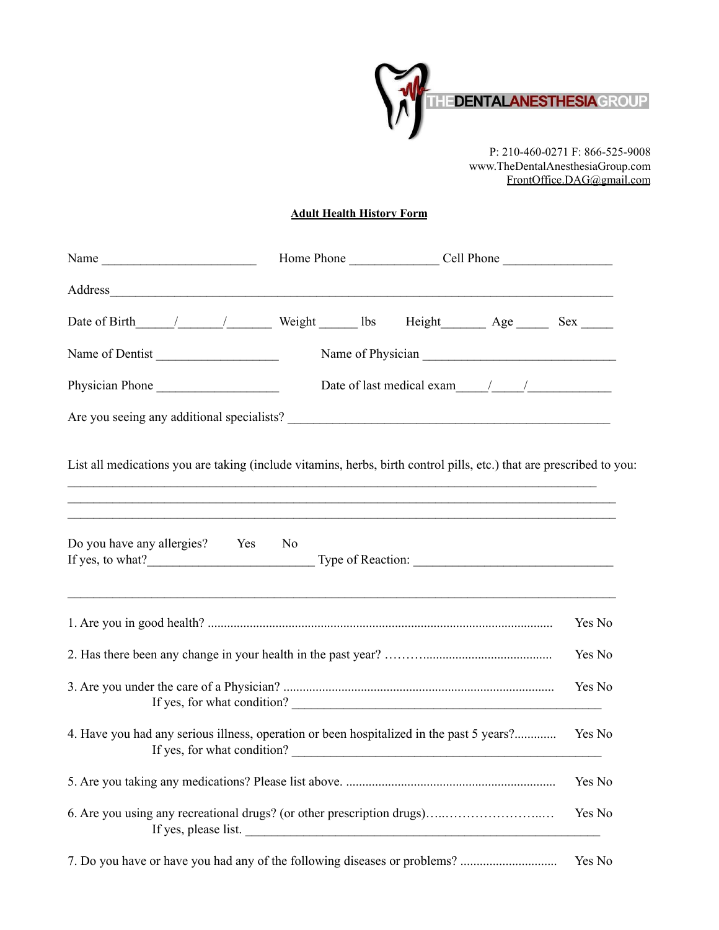

P: 210-460-0271 F: 866-525-9008 www.TheDentalAnesthesiaGroup.com FrontOffice.DAG@gmail.com

## **Adult Health History Form**

| Address_                                                                                                                                                                                                 |  |        |
|----------------------------------------------------------------------------------------------------------------------------------------------------------------------------------------------------------|--|--------|
|                                                                                                                                                                                                          |  |        |
| Name of Dentist                                                                                                                                                                                          |  |        |
| Physician Phone                                                                                                                                                                                          |  |        |
|                                                                                                                                                                                                          |  |        |
| List all medications you are taking (include vitamins, herbs, birth control pills, etc.) that are prescribed to you:<br>,我们也不会有什么。""我们的人,我们也不会有什么?""我们的人,我们也不会有什么?""我们的人,我们也不会有什么?""我们的人,我们也不会有什么?""我们的人 |  |        |
| ,我们也不能在这里的时候,我们也不能在这里的时候,我们也不能会不能会不能会不能会不能会不能会不能会不能会不能会不能会。""我们的是我们的,我们也不能会不能会不能<br>Do you have any allergies? Yes No                                                                                    |  |        |
|                                                                                                                                                                                                          |  | Yes No |
|                                                                                                                                                                                                          |  | Yes No |
| If yes, for what condition?                                                                                                                                                                              |  | Yes No |
| 4. Have you had any serious illness, operation or been hospitalized in the past 5 years?<br>If yes, for what condition?                                                                                  |  | Yes No |
|                                                                                                                                                                                                          |  | Yes No |
| 6. Are you using any recreational drugs? (or other prescription drugs)<br>If yes, please list.                                                                                                           |  | Yes No |
|                                                                                                                                                                                                          |  | Yes No |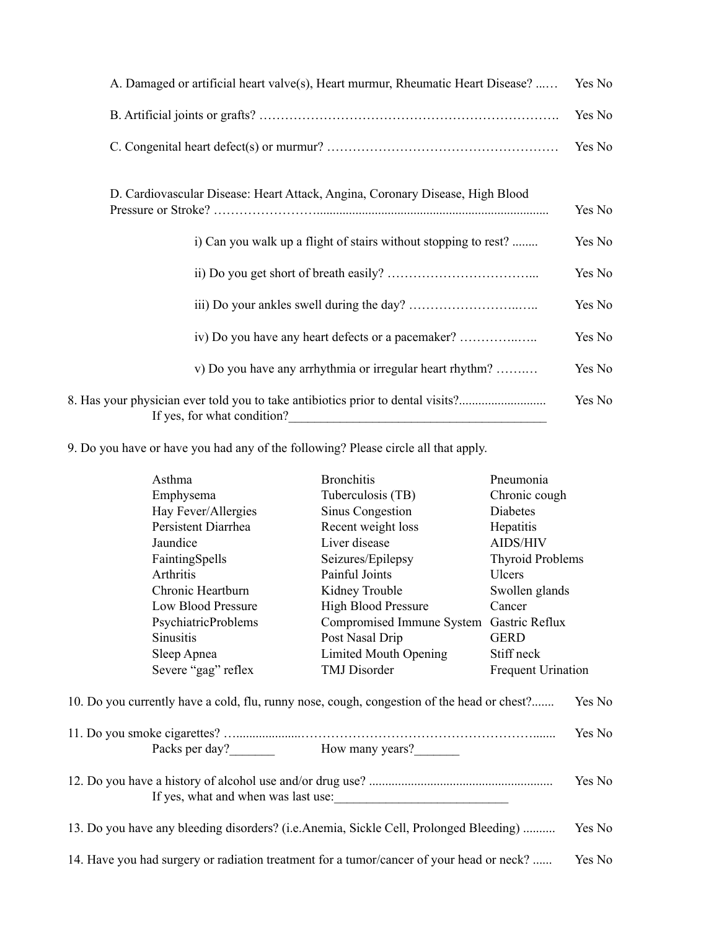| A. Damaged or artificial heart valve(s), Heart murmur, Rheumatic Heart Disease?                                | Yes No |
|----------------------------------------------------------------------------------------------------------------|--------|
|                                                                                                                | Yes No |
|                                                                                                                | Yes No |
| D. Cardiovascular Disease: Heart Attack, Angina, Coronary Disease, High Blood                                  | Yes No |
| i) Can you walk up a flight of stairs without stopping to rest?                                                | Yes No |
|                                                                                                                | Yes No |
|                                                                                                                | Yes No |
|                                                                                                                | Yes No |
| v) Do you have any arrhythmia or irregular heart rhythm?                                                       | Yes No |
| 8. Has your physician ever told you to take antibiotics prior to dental visits?<br>If yes, for what condition? | Yes No |

9. Do you have or have you had any of the following? Please circle all that apply.

| Asthma                                                                                     | <b>Bronchitis</b>                   | Pneumonia                 |  |
|--------------------------------------------------------------------------------------------|-------------------------------------|---------------------------|--|
| Emphysema                                                                                  | Tuberculosis (TB)                   | Chronic cough             |  |
| Hay Fever/Allergies                                                                        | Sinus Congestion                    | Diabetes                  |  |
| Persistent Diarrhea                                                                        | Recent weight loss                  | Hepatitis                 |  |
| Jaundice                                                                                   | Liver disease                       | AIDS/HIV                  |  |
| FaintingSpells                                                                             | Seizures/Epilepsy                   | <b>Thyroid Problems</b>   |  |
| Arthritis                                                                                  | Painful Joints                      | Ulcers                    |  |
| Chronic Heartburn                                                                          | Kidney Trouble                      | Swollen glands            |  |
| Low Blood Pressure                                                                         | <b>High Blood Pressure</b>          | Cancer                    |  |
| <b>PsychiatricProblems</b>                                                                 | Compromised Immune System           | Gastric Reflux            |  |
| <b>Sinusitis</b>                                                                           | Post Nasal Drip                     | <b>GERD</b>               |  |
| Sleep Apnea                                                                                | Limited Mouth Opening               | Stiff neck                |  |
| Severe "gag" reflex                                                                        | TMJ Disorder                        | <b>Frequent Urination</b> |  |
| 10. Do you currently have a cold, flu, runny nose, cough, congestion of the head or chest? |                                     | Yes No                    |  |
|                                                                                            |                                     | Yes No                    |  |
| Packs per day? How many years?                                                             |                                     |                           |  |
|                                                                                            | If yes, what and when was last use: | Yes No                    |  |
| 13. Do you have any bleeding disorders? (i.e.Anemia, Sickle Cell, Prolonged Bleeding)      |                                     | Yes No                    |  |
| 14. Have you had surgery or radiation treatment for a tumor/cancer of your head or neck?   |                                     | Yes No                    |  |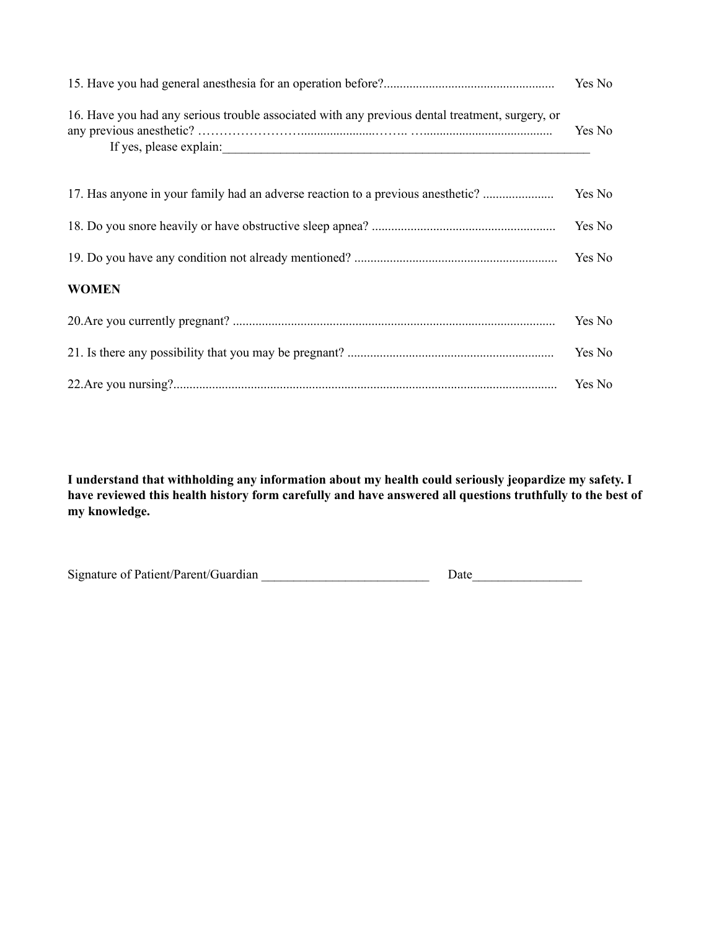| 16. Have you had any serious trouble associated with any previous dental treatment, surgery, or<br>If yes, please explain: | Yes No |
|----------------------------------------------------------------------------------------------------------------------------|--------|
| 17. Has anyone in your family had an adverse reaction to a previous anesthetic?                                            | Yes No |
|                                                                                                                            | Yes No |
|                                                                                                                            | Yes No |
| <b>WOMEN</b>                                                                                                               |        |
|                                                                                                                            | Yes No |
|                                                                                                                            | Yes No |
|                                                                                                                            |        |

**I understand that withholding any information about my health could seriously jeopardize my safety. I** have reviewed this health history form carefully and have answered all questions truthfully to the best of **my knowledge.**

| Signature of Patient/Parent/Guardian | Date |
|--------------------------------------|------|
|                                      |      |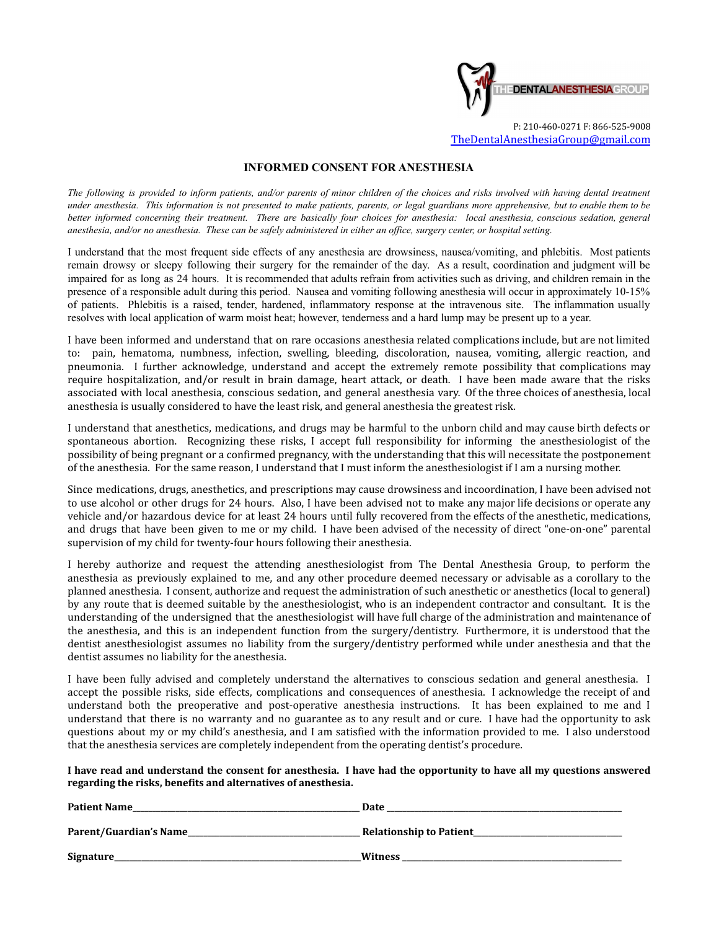

## **INFORMED CONSENT FOR ANESTHESIA**

The following is provided to inform patients, and/or parents of minor children of the choices and risks involved with having dental treatment under anesthesia. This information is not presented to make patients, parents, or legal guardians more apprehensive, but to enable them to be better informed concerning their treatment. There are basically four choices for anesthesia: local anesthesia, conscious sedation, general anesthesia, and/or no anesthesia. These can be safely administered in either an office, surgery center, or hospital setting.

I understand that the most frequent side effects of any anesthesia are drowsiness, nausea/vomiting, and phlebitis. Most patients remain drowsy or sleepy following their surgery for the remainder of the day. As a result, coordination and judgment will be impaired for as long as 24 hours. It is recommended that adults refrain from activities such as driving, and children remain in the presence of a responsible adult during this period. Nausea and vomiting following anesthesia will occur in approximately 10-15% of patients. Phlebitis is a raised, tender, hardened, inflammatory response at the intravenous site. The inflammation usually resolves with local application of warm moist heat; however, tenderness and a hard lump may be present up to a year.

I have been informed and understand that on rare occasions anesthesia related complications include, but are not limited to: pain, hematoma, numbness, infection, swelling, bleeding, discoloration, nausea, vomiting, allergic reaction, and pneumonia. I further acknowledge, understand and accept the extremely remote possibility that complications may require hospitalization, and/or result in brain damage, heart attack, or death. I have been made aware that the risks associated with local anesthesia, conscious sedation, and general anesthesia vary. Of the three choices of anesthesia, local anesthesia is usually considered to have the least risk, and general anesthesia the greatest risk.

I understand that anesthetics, medications, and drugs may be harmful to the unborn child and may cause birth defects or spontaneous abortion. Recognizing these risks, I accept full responsibility for informing the anesthesiologist of the possibility of being pregnant or a confirmed pregnancy, with the understanding that this will necessitate the postponement of the anesthesia. For the same reason, I understand that I must inform the anesthesiologist if I am a nursing mother.

Since medications, drugs, anesthetics, and prescriptions may cause drowsiness and incoordination, I have been advised not to use alcohol or other drugs for 24 hours. Also, I have been advised not to make any major life decisions or operate any vehicle and/or hazardous device for at least 24 hours until fully recovered from the effects of the anesthetic, medications, and drugs that have been given to me or my child. I have been advised of the necessity of direct "one-on-one" parental supervision of my child for twenty-four hours following their anesthesia.

I hereby authorize and request the attending anesthesiologist from The Dental Anesthesia Group, to perform the anesthesia as previously explained to me, and any other procedure deemed necessary or advisable as a corollary to the planned anesthesia. I consent, authorize and request the administration of such anesthetic or anesthetics (local to general) by any route that is deemed suitable by the anesthesiologist, who is an independent contractor and consultant. It is the understanding of the undersigned that the anesthesiologist will have full charge of the administration and maintenance of the anesthesia, and this is an independent function from the surgery/dentistry. Furthermore, it is understood that the dentist anesthesiologist assumes no liability from the surgery/dentistry performed while under anesthesia and that the dentist assumes no liability for the anesthesia.

I have been fully advised and completely understand the alternatives to conscious sedation and general anesthesia. I accept the possible risks, side effects, complications and consequences of anesthesia. I acknowledge the receipt of and understand both the preoperative and post-operative anesthesia instructions. It has been explained to me and I understand that there is no warranty and no guarantee as to any result and or cure. I have had the opportunity to ask questions about my or my child's anesthesia, and I am satisfied with the information provided to me. I also understood that the anesthesia services are completely independent from the operating dentist's procedure.

I have read and understand the consent for anesthesia. I have had the opportunity to have all my questions answered **regarding the risks, benefits and alternatives of anesthesia.**

| <b>Patient Name</b>    | Date                           |
|------------------------|--------------------------------|
| Parent/Guardian's Name | <b>Relationship to Patient</b> |
| Signature              | <b>Witness</b>                 |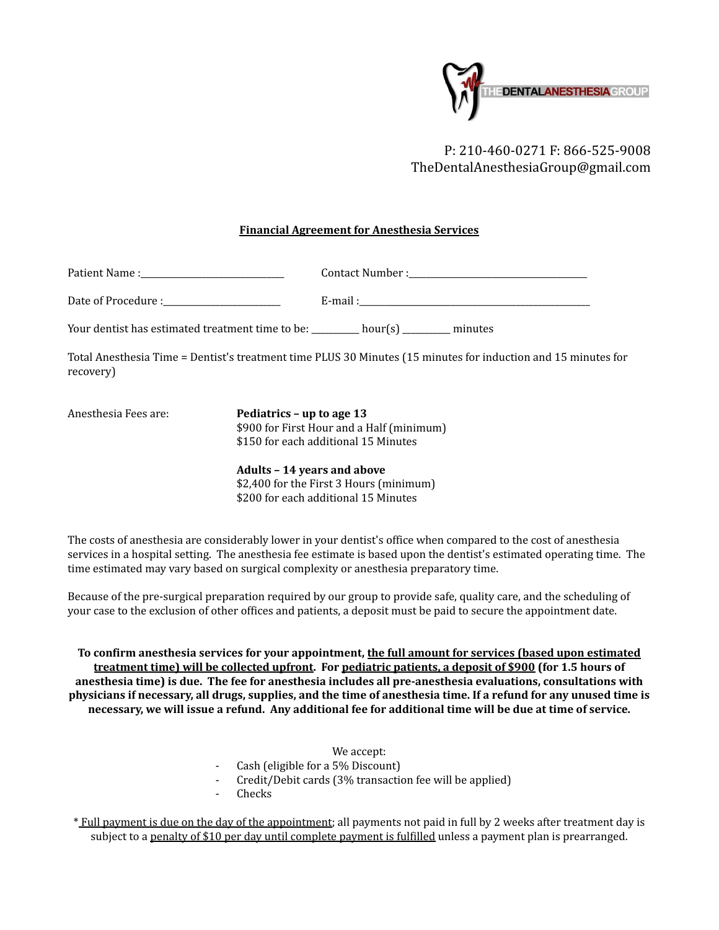

P: 210-460-0271 F: 866-525-9008 TheDentalAnesthesiaGroup@gmail.com

## **Financial Agreement for Anesthesia Services**

| Patient Name :<br>the control of the control of the control of the control of the control of the control of |                    |
|-------------------------------------------------------------------------------------------------------------|--------------------|
| Date of Procedure :                                                                                         | E-mail :           |
| Your dentist has estimated treatment time to be:                                                            | hour(s)<br>minutes |

Total Anesthesia Time = Dentist's treatment time PLUS 30 Minutes (15 minutes for induction and 15 minutes for recovery)

Anesthesia Fees are: **Pediatrics – up to age 13** \$900 for First Hour and a Half (minimum) \$150 for each additional 15 Minutes

> **Adults – 14 years and above** \$2,400 for the First 3 Hours (minimum) \$200 for each additional 15 Minutes

The costs of anesthesia are considerably lower in your dentist's office when compared to the cost of anesthesia services in a hospital setting. The anesthesia fee estimate is based upon the dentist's estimated operating time. The time estimated may vary based on surgical complexity or anesthesia preparatory time.

Because of the pre-surgical preparation required by our group to provide safe, quality care, and the scheduling of your case to the exclusion of other offices and patients, a deposit must be paid to secure the appointment date.

**To confirm anesthesia services for your appointment, the full amount for services (based upon estimated treatment time) will be collected upfront. For pediatric patients, a deposit of \$900 (for 1.5 hours of anesthesia time) is due. The fee for anesthesia includes all pre-anesthesia evaluations, consultations with** physicians if necessary, all drugs, supplies, and the time of anesthesia time. If a refund for any unused time is necessary, we will issue a refund. Any additional fee for additional time will be due at time of service.

- We accept:
- Cash (eligible for a 5% Discount)
- Credit/Debit cards (3% transaction fee will be applied)
- **Checks**

\* Full payment is due on the day of the appointment; all payments not paid in full by 2 weeks after treatment day is subject to a penalty of \$10 per day until complete payment is fulfilled unless a payment plan is prearranged.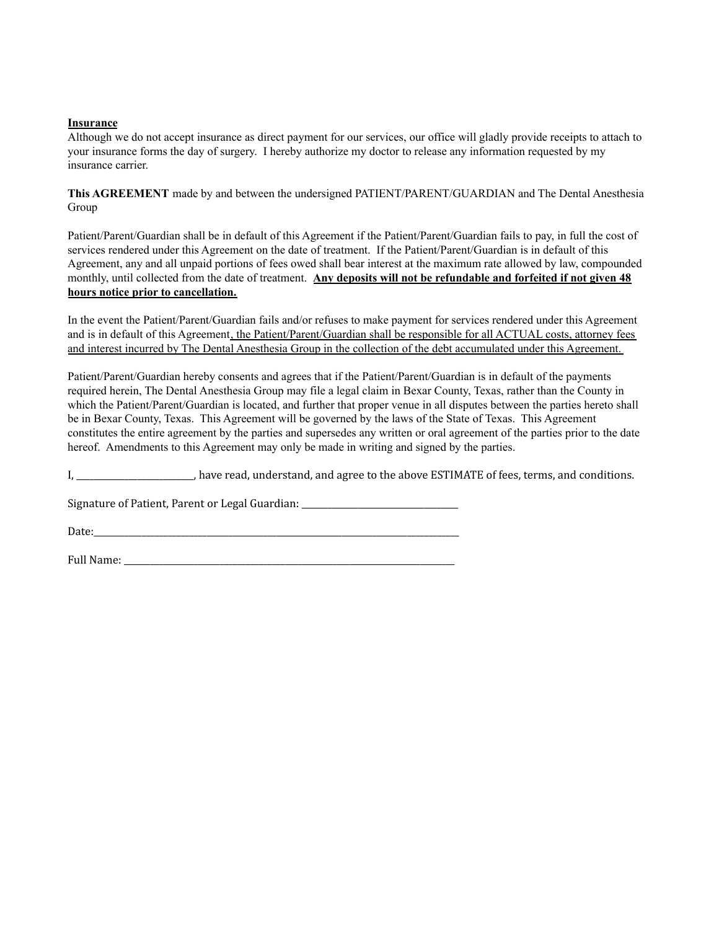## **Insurance**

Although we do not accept insurance as direct payment for our services, our office will gladly provide receipts to attach to your insurance forms the day of surgery. I hereby authorize my doctor to release any information requested by my insurance carrier.

**This AGREEMENT** made by and between the undersigned PATIENT/PARENT/GUARDIAN and The Dental Anesthesia Group

Patient/Parent/Guardian shall be in default of this Agreement if the Patient/Parent/Guardian fails to pay, in full the cost of services rendered under this Agreement on the date of treatment. If the Patient/Parent/Guardian is in default of this Agreement, any and all unpaid portions of fees owed shall bear interest at the maximum rate allowed by law, compounded monthly, until collected from the date of treatment. **Any deposits will not be refundable and forfeited if not given 48 hours notice prior to cancellation.**

In the event the Patient/Parent/Guardian fails and/or refuses to make payment for services rendered under this Agreement and is in default of this Agreement, the Patient/Parent/Guardian shall be responsible for all ACTUAL costs, attorney fees and interest incurred by The Dental Anesthesia Group in the collection of the debt accumulated under this Agreement.

Patient/Parent/Guardian hereby consents and agrees that if the Patient/Parent/Guardian is in default of the payments required herein, The Dental Anesthesia Group may file a legal claim in Bexar County, Texas, rather than the County in which the Patient/Parent/Guardian is located, and further that proper venue in all disputes between the parties hereto shall be in Bexar County, Texas. This Agreement will be governed by the laws of the State of Texas. This Agreement constitutes the entire agreement by the parties and supersedes any written or oral agreement of the parties prior to the date hereof. Amendments to this Agreement may only be made in writing and signed by the parties.

I, \_\_\_\_\_\_\_\_\_\_\_\_\_\_\_\_\_\_\_\_\_\_\_\_\_\_\_, have read, understand, and agree to the above ESTIMATE of fees, terms, and conditions.

Signature of Patient, Parent or Legal Guardian: \_\_\_\_\_\_\_\_\_\_\_\_\_\_\_\_\_\_\_\_\_\_\_\_\_\_\_\_\_\_\_\_

Date:

Full Name: \_\_\_\_\_\_\_\_\_\_\_\_\_\_\_\_\_\_\_\_\_\_\_\_\_\_\_\_\_\_\_\_\_\_\_\_\_\_\_\_\_\_\_\_\_\_\_\_\_\_\_\_\_\_\_\_\_\_\_\_\_\_\_\_\_\_\_\_\_\_\_\_\_\_\_\_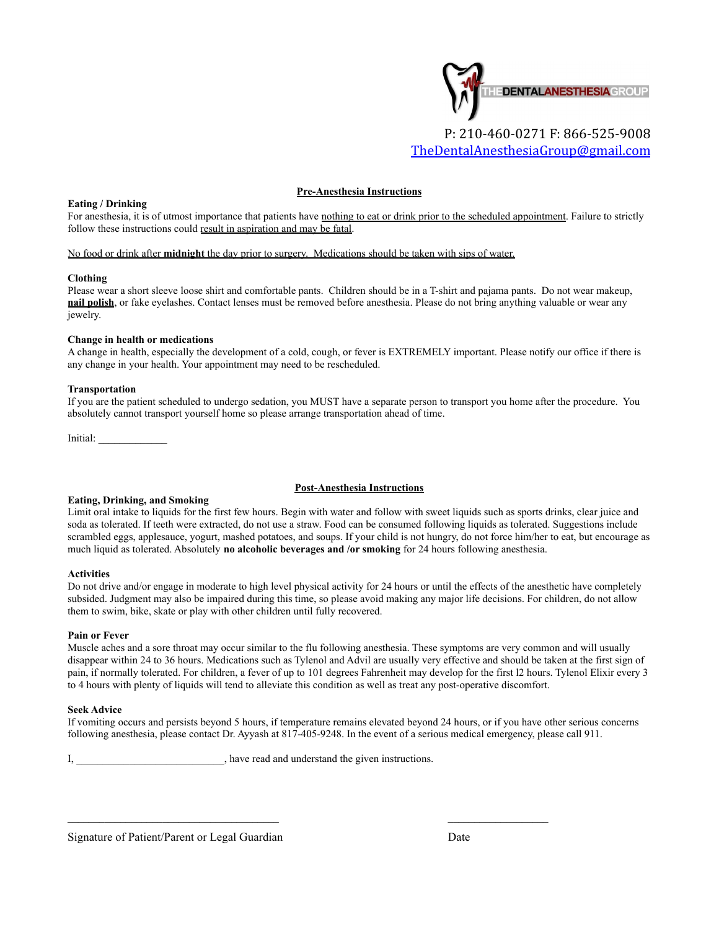

## **Pre-Anesthesia Instructions**

#### **Eating / Drinking**

For anesthesia, it is of utmost importance that patients have nothing to eat or drink prior to the scheduled appointment. Failure to strictly follow these instructions could result in aspiration and may be fatal.

#### No food or drink after **midnight** the day prior to surgery. Medications should be taken with sips of water.

#### **Clothing**

Please wear a short sleeve loose shirt and comfortable pants. Children should be in a T-shirt and pajama pants. Do not wear makeup, **nail polish**, or fake eyelashes. Contact lenses must be removed before anesthesia. Please do not bring anything valuable or wear any jewelry.

#### **Change in health or medications**

A change in health, especially the development of a cold, cough, or fever is EXTREMELY important. Please notify our office if there is any change in your health. Your appointment may need to be rescheduled.

#### **Transportation**

If you are the patient scheduled to undergo sedation, you MUST have a separate person to transport you home after the procedure. You absolutely cannot transport yourself home so please arrange transportation ahead of time.

Initial: \_\_\_\_\_\_\_\_\_\_\_\_\_

#### **Post-Anesthesia Instructions**

## **Eating, Drinking, and Smoking**

Limit oral intake to liquids for the first few hours. Begin with water and follow with sweet liquids such as sports drinks, clear juice and soda as tolerated. If teeth were extracted, do not use a straw. Food can be consumed following liquids as tolerated. Suggestions include scrambled eggs, applesauce, yogurt, mashed potatoes, and soups. If your child is not hungry, do not force him/her to eat, but encourage as much liquid as tolerated. Absolutely **no alcoholic beverages and /or smoking** for 24 hours following anesthesia.

#### **Activities**

Do not drive and/or engage in moderate to high level physical activity for 24 hours or until the effects of the anesthetic have completely subsided. Judgment may also be impaired during this time, so please avoid making any major life decisions. For children, do not allow them to swim, bike, skate or play with other children until fully recovered.

#### **Pain or Fever**

Muscle aches and a sore throat may occur similar to the flu following anesthesia. These symptoms are very common and will usually disappear within 24 to 36 hours. Medications such as Tylenol and Advil are usually very effective and should be taken at the first sign of pain, if normally tolerated. For children, a fever of up to 101 degrees Fahrenheit may develop for the first l2 hours. Tylenol Elixir every 3 to 4 hours with plenty of liquids will tend to alleviate this condition as well as treat any post-operative discomfort.

#### **Seek Advice**

If vomiting occurs and persists beyond 5 hours, if temperature remains elevated beyond 24 hours, or if you have other serious concerns following anesthesia, please contact Dr. Ayyash at 817-405-9248. In the event of a serious medical emergency, please call 911.

I, \_\_\_\_\_\_\_\_\_\_\_\_\_\_\_\_\_\_\_\_\_\_\_, have read and understand the given instructions.

Signature of Patient/Parent or Legal Guardian Date